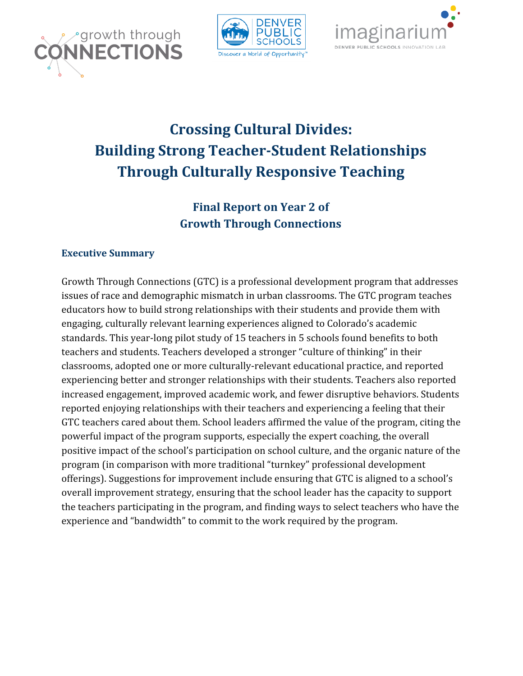





# **Crossing Cultural Divides: Building Strong Teacher-Student Relationships Through Culturally Responsive Teaching**

# **Final Report on Year 2 of Growth Through Connections**

# **Executive Summary**

Growth Through Connections (GTC) is a professional development program that addresses issues of race and demographic mismatch in urban classrooms. The GTC program teaches educators how to build strong relationships with their students and provide them with engaging, culturally relevant learning experiences aligned to Colorado's academic standards. This year-long pilot study of 15 teachers in 5 schools found benefits to both teachers and students. Teachers developed a stronger "culture of thinking" in their classrooms, adopted one or more culturally-relevant educational practice, and reported experiencing better and stronger relationships with their students. Teachers also reported increased engagement, improved academic work, and fewer disruptive behaviors. Students reported enjoying relationships with their teachers and experiencing a feeling that their GTC teachers cared about them. School leaders affirmed the value of the program, citing the powerful impact of the program supports, especially the expert coaching, the overall positive impact of the school's participation on school culture, and the organic nature of the program (in comparison with more traditional "turnkey" professional development offerings). Suggestions for improvement include ensuring that GTC is aligned to a school's overall improvement strategy, ensuring that the school leader has the capacity to support the teachers participating in the program, and finding ways to select teachers who have the experience and "bandwidth" to commit to the work required by the program.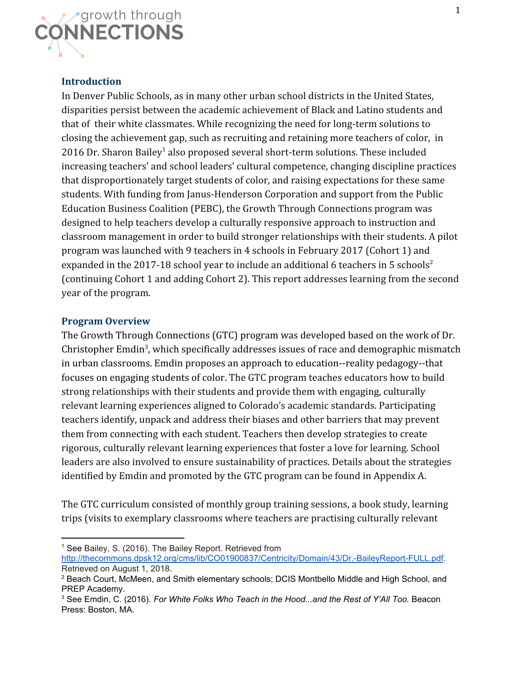

#### **Introduction**

In Denver Public Schools, as in many other urban school districts in the United States, disparities persist between the academic achievement of Black and Latino students and that of their white classmates. While recognizing the need for long-term solutions to closing the achievement gap, such as recruiting and retaining more teachers of color, in 2016 Dr. Sharon Bailey<sup>1</sup> also proposed several short-term solutions. These included increasing teachers' and school leaders' cultural competence, changing discipline practices that disproportionately target students of color, and raising expectations for these same students. With funding from Janus-Henderson Corporation and support from the Public Education Business Coalition (PEBC), the Growth Through Connections program was designed to help teachers develop a culturally responsive approach to instruction and classroom management in order to build stronger relationships with their students. A pilot program was launched with 9 teachers in 4 schools in February 2017 (Cohort 1) and expanded in the 2017-18 school year to include an additional 6 teachers in 5 schools<sup>2</sup> (continuing Cohort 1 and adding Cohort 2). This report addresses learning from the second year of the program.

#### **Program Overview**

The Growth Through Connections (GTC) program was developed based on the work of Dr. Christopher Emdin<sup>3</sup>, which specifically addresses issues of race and demographic mismatch in urban classrooms. Emdin proposes an approach to education--reality pedagogy--that focuses on engaging students of color. The GTC program teaches educators how to build strong relationships with their students and provide them with engaging, culturally relevant learning experiences aligned to Colorado's academic standards. Participating teachers identify, unpack and address their biases and other barriers that may prevent them from connecting with each student. Teachers then develop strategies to create rigorous, culturally relevant learning experiences that foster a love for learning. School leaders are also involved to ensure sustainability of practices. Details about the strategies identified by Emdin and promoted by the GTC program can be found in Appendix A.

The GTC curriculum consisted of monthly group training sessions, a book study, learning trips (visits to exemplary classrooms where teachers are practising culturally relevant

<sup>&</sup>lt;sup>1</sup> See Bailey, S. (2016). The Bailey Report. Retrieved from <http://thecommons.dpsk12.org/cms/lib/CO01900837/Centricity/Domain/43/Dr.-BaileyReport-FULL.pdf>. Retrieved on August 1, 2018.

<sup>2</sup> Beach Court, McMeen, and Smith elementary schools; DCIS Montbello Middle and High School, and PREP Academy.

<sup>3</sup> See Emdin, C. (2016). *For White Folks Who Teach in the Hood...and the Rest of Y'All Too.* Beacon Press: Boston, MA.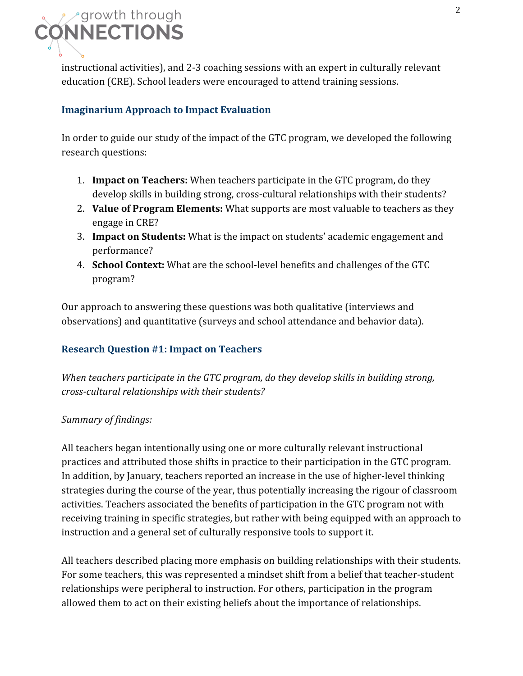

instructional activities), and 2-3 coaching sessions with an expert in culturally relevant education (CRE). School leaders were encouraged to attend training sessions.

#### **Imaginarium Approach to Impact Evaluation**

In order to guide our study of the impact of the GTC program, we developed the following research questions:

- 1. **Impact on Teachers:** When teachers participate in the GTC program, do they develop skills in building strong, cross-cultural relationships with their students?
- 2. **Value of Program Elements:** What supports are most valuable to teachers as they engage in CRE?
- 3. **Impact on Students:** What is the impact on students' academic engagement and performance?
- 4. **School Context:** What are the school-level benefits and challenges of the GTC program?

Our approach to answering these questions was both qualitative (interviews and observations) and quantitative (surveys and school attendance and behavior data).

### **Research Question #1: Impact on Teachers**

*When teachers participate in the GTC program, do they develop skills in building strong, cross-cultural relationships with their students?*

#### *Summary of findings:*

All teachers began intentionally using one or more culturally relevant instructional practices and attributed those shifts in practice to their participation in the GTC program. In addition, by January, teachers reported an increase in the use of higher-level thinking strategies during the course of the year, thus potentially increasing the rigour of classroom activities. Teachers associated the benefits of participation in the GTC program not with receiving training in specific strategies, but rather with being equipped with an approach to instruction and a general set of culturally responsive tools to support it.

All teachers described placing more emphasis on building relationships with their students. For some teachers, this was represented a mindset shift from a belief that teacher-student relationships were peripheral to instruction. For others, participation in the program allowed them to act on their existing beliefs about the importance of relationships.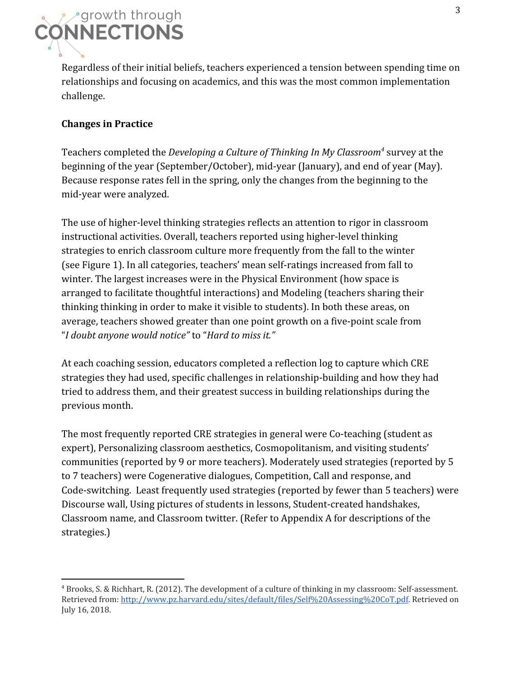

Regardless of their initial beliefs, teachers experienced a tension between spending time on relationships and focusing on academics, and this was the most common implementation challenge.

### **Changes in Practice**

Teachers completed the *Developing a Culture of Thinking In My Classroom<sup>4</sup>* survey at the beginning of the year (September/October), mid-year (January), and end of year (May). Because response rates fell in the spring, only the changes from the beginning to the mid-year were analyzed.

The use of higher-level thinking strategies reflects an attention to rigor in classroom instructional activities. Overall, teachers reported using higher-level thinking strategies to enrich classroom culture more frequently from the fall to the winter (see Figure 1). In all categories, teachers' mean self-ratings increased from fall to winter. The largest increases were in the Physical Environment (how space is arranged to facilitate thoughtful interactions) and Modeling (teachers sharing their thinking thinking in order to make it visible to students). In both these areas, on average, teachers showed greater than one point growth on a five-point scale from "*I doubt anyone would notice"* to "*Hard to miss it."*

At each coaching session, educators completed a reflection log to capture which CRE strategies they had used, specific challenges in relationship-building and how they had tried to address them, and their greatest success in building relationships during the previous month.

The most frequently reported CRE strategies in general were Co-teaching (student as expert), Personalizing classroom aesthetics, Cosmopolitanism, and visiting students' communities (reported by 9 or more teachers). Moderately used strategies (reported by 5 to 7 teachers) were Cogenerative dialogues, Competition, Call and response, and Code-switching. Least frequently used strategies (reported by fewer than 5 teachers) were Discourse wall, Using pictures of students in lessons, Student-created handshakes, Classroom name, and Classroom twitter. (Refer to Appendix A for descriptions of the strategies.)

<sup>4</sup> Brooks, S. & Richhart, R. (2012). The development of a culture of thinking in my classroom: Self-assessment. Retrieved from: <http://www.pz.harvard.edu/sites/default/files/Self%20Assessing%20CoT.pdf>. Retrieved on July 16, 2018.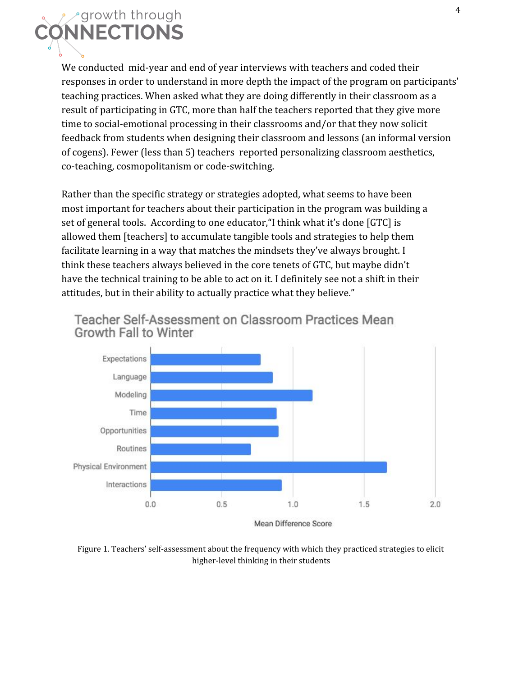

We conducted mid-year and end of year interviews with teachers and coded their responses in order to understand in more depth the impact of the program on participants' teaching practices. When asked what they are doing differently in their classroom as a result of participating in GTC, more than half the teachers reported that they give more time to social-emotional processing in their classrooms and/or that they now solicit feedback from students when designing their classroom and lessons (an informal version of cogens). Fewer (less than 5) teachers reported personalizing classroom aesthetics, co-teaching, cosmopolitanism or code-switching.

Rather than the specific strategy or strategies adopted, what seems to have been most important for teachers about their participation in the program was building a set of general tools. According to one educator,"I think what it's done [GTC] is allowed them [teachers] to accumulate tangible tools and strategies to help them facilitate learning in a way that matches the mindsets they've always brought. I think these teachers always believed in the core tenets of GTC, but maybe didn't have the technical training to be able to act on it. I definitely see not a shift in their attitudes, but in their ability to actually practice what they believe."



Teacher Self-Assessment on Classroom Practices Mean Growth Fall to Winter

Figure 1. Teachers' self-assessment about the frequency with which they practiced strategies to elicit higher-level thinking in their students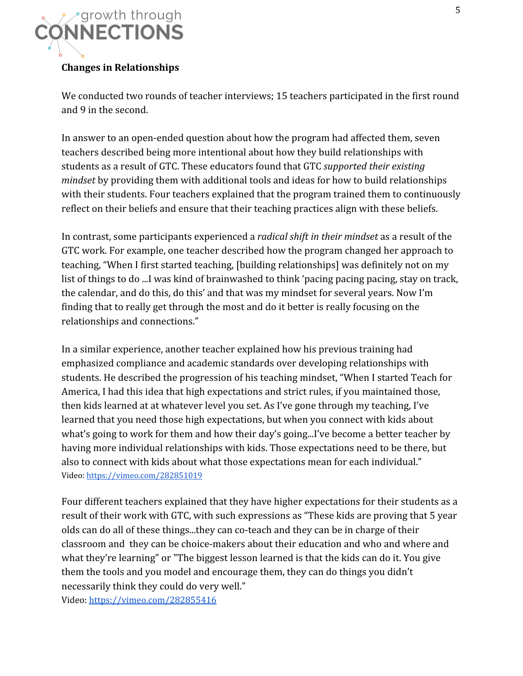

#### **Changes in Relationships**

We conducted two rounds of teacher interviews; 15 teachers participated in the first round and 9 in the second.

In answer to an open-ended question about how the program had affected them, seven teachers described being more intentional about how they build relationships with students as a result of GTC. These educators found that GTC *supported their existing mindset* by providing them with additional tools and ideas for how to build relationships with their students. Four teachers explained that the program trained them to continuously reflect on their beliefs and ensure that their teaching practices align with these beliefs.

In contrast, some participants experienced a *radical shift in their mindset* as a result of the GTC work. For example, one teacher described how the program changed her approach to teaching, "When I first started teaching, [building relationships] was definitely not on my list of things to do ...I was kind of brainwashed to think 'pacing pacing pacing, stay on track, the calendar, and do this, do this' and that was my mindset for several years. Now I'm finding that to really get through the most and do it better is really focusing on the relationships and connections."

In a similar experience, another teacher explained how his previous training had emphasized compliance and academic standards over developing relationships with students. He described the progression of his teaching mindset, "When I started Teach for America, I had this idea that high expectations and strict rules, if you maintained those, then kids learned at at whatever level you set. As I've gone through my teaching, I've learned that you need those high expectations, but when you connect with kids about what's going to work for them and how their day's going...I've become a better teacher by having more individual relationships with kids. Those expectations need to be there, but also to connect with kids about what those expectations mean for each individual." Video: <https://vimeo.com/282851019>

Four different teachers explained that they have higher expectations for their students as a result of their work with GTC, with such expressions as "These kids are proving that 5 year olds can do all of these things...they can co-teach and they can be in charge of their classroom and they can be choice-makers about their education and who and where and what they're learning" or "The biggest lesson learned is that the kids can do it. You give them the tools and you model and encourage them, they can do things you didn't necessarily think they could do very well."

Video: <https://vimeo.com/282855416>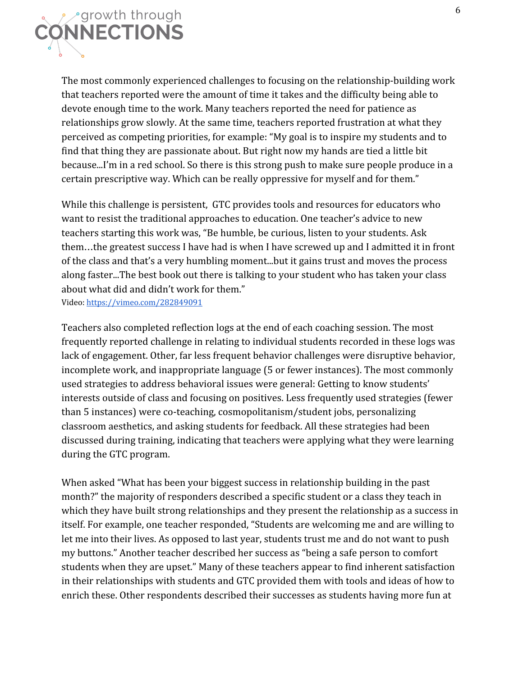

The most commonly experienced challenges to focusing on the relationship-building work that teachers reported were the amount of time it takes and the difficulty being able to devote enough time to the work. Many teachers reported the need for patience as relationships grow slowly. At the same time, teachers reported frustration at what they perceived as competing priorities, for example: "My goal is to inspire my students and to find that thing they are passionate about. But right now my hands are tied a little bit because...I'm in a red school. So there is this strong push to make sure people produce in a certain prescriptive way. Which can be really oppressive for myself and for them."

While this challenge is persistent, GTC provides tools and resources for educators who want to resist the traditional approaches to education. One teacher's advice to new teachers starting this work was, "Be humble, be curious, listen to your students. Ask them…the greatest success I have had is when I have screwed up and I admitted it in front of the class and that's a very humbling moment...but it gains trust and moves the process along faster...The best book out there is talking to your student who has taken your class about what did and didn't work for them."

Video: <https://vimeo.com/282849091>

Teachers also completed reflection logs at the end of each coaching session. The most frequently reported challenge in relating to individual students recorded in these logs was lack of engagement. Other, far less frequent behavior challenges were disruptive behavior, incomplete work, and inappropriate language (5 or fewer instances). The most commonly used strategies to address behavioral issues were general: Getting to know students' interests outside of class and focusing on positives. Less frequently used strategies (fewer than 5 instances) were co-teaching, cosmopolitanism/student jobs, personalizing classroom aesthetics, and asking students for feedback. All these strategies had been discussed during training, indicating that teachers were applying what they were learning during the GTC program.

When asked "What has been your biggest success in relationship building in the past month?" the majority of responders described a specific student or a class they teach in which they have built strong relationships and they present the relationship as a success in itself. For example, one teacher responded, "Students are welcoming me and are willing to let me into their lives. As opposed to last year, students trust me and do not want to push my buttons." Another teacher described her success as "being a safe person to comfort students when they are upset." Many of these teachers appear to find inherent satisfaction in their relationships with students and GTC provided them with tools and ideas of how to enrich these. Other respondents described their successes as students having more fun at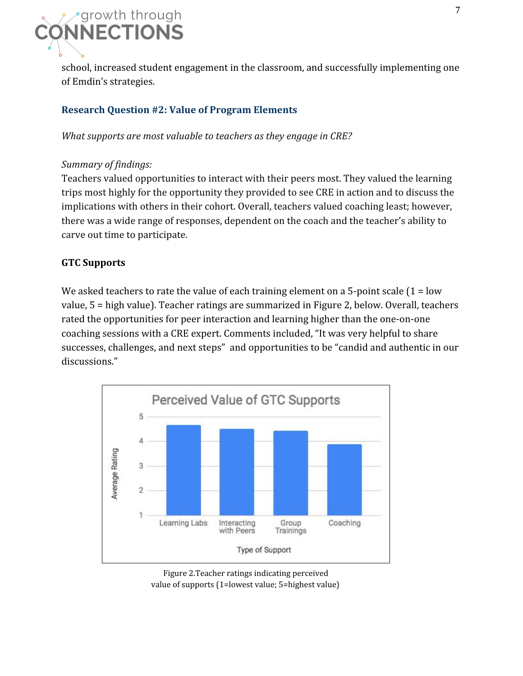

school, increased student engagement in the classroom, and successfully implementing one of Emdin's strategies.

# **Research Question #2: Value of Program Elements**

*What supports are most valuable to teachers as they engage in CRE?*

#### *Summary of findings:*

Teachers valued opportunities to interact with their peers most. They valued the learning trips most highly for the opportunity they provided to see CRE in action and to discuss the implications with others in their cohort. Overall, teachers valued coaching least; however, there was a wide range of responses, dependent on the coach and the teacher's ability to carve out time to participate.

# **GTC Supports**

We asked teachers to rate the value of each training element on a 5-point scale  $(1 = low$ value, 5 = high value). Teacher ratings are summarized in Figure 2, below. Overall, teachers rated the opportunities for peer interaction and learning higher than the one-on-one coaching sessions with a CRE expert. Comments included, "It was very helpful to share successes, challenges, and next steps" and opportunities to be "candid and authentic in our discussions."



Figure 2.Teacher ratings indicating perceived value of supports (1=lowest value; 5=highest value)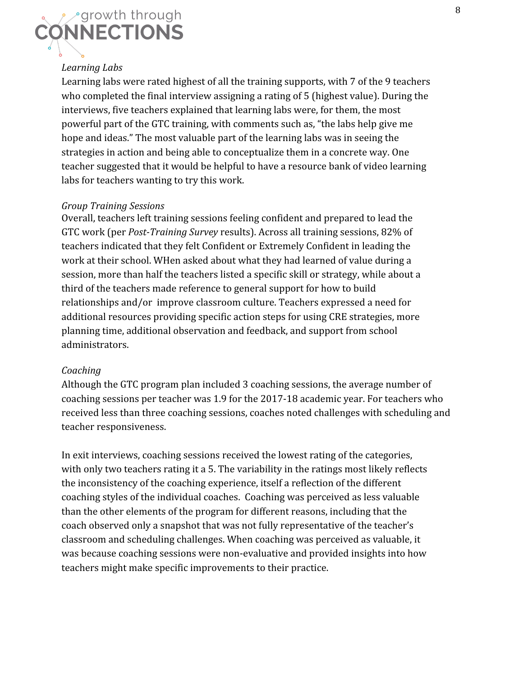

# *Learning Labs*

Learning labs were rated highest of all the training supports, with 7 of the 9 teachers who completed the final interview assigning a rating of 5 (highest value). During the interviews, five teachers explained that learning labs were, for them, the most powerful part of the GTC training, with comments such as, "the labs help give me hope and ideas." The most valuable part of the learning labs was in seeing the strategies in action and being able to conceptualize them in a concrete way. One teacher suggested that it would be helpful to have a resource bank of video learning labs for teachers wanting to try this work.

#### *Group Training Sessions*

Overall, teachers left training sessions feeling confident and prepared to lead the GTC work (per *Post-Training Survey* results). Across all training sessions, 82% of teachers indicated that they felt Confident or Extremely Confident in leading the work at their school. WHen asked about what they had learned of value during a session, more than half the teachers listed a specific skill or strategy, while about a third of the teachers made reference to general support for how to build relationships and/or improve classroom culture. Teachers expressed a need for additional resources providing specific action steps for using CRE strategies, more planning time, additional observation and feedback, and support from school administrators.

#### *Coaching*

Although the GTC program plan included 3 coaching sessions, the average number of coaching sessions per teacher was 1.9 for the 2017-18 academic year. For teachers who received less than three coaching sessions, coaches noted challenges with scheduling and teacher responsiveness.

In exit interviews, coaching sessions received the lowest rating of the categories, with only two teachers rating it a 5. The variability in the ratings most likely reflects the inconsistency of the coaching experience, itself a reflection of the different coaching styles of the individual coaches. Coaching was perceived as less valuable than the other elements of the program for different reasons, including that the coach observed only a snapshot that was not fully representative of the teacher's classroom and scheduling challenges. When coaching was perceived as valuable, it was because coaching sessions were non-evaluative and provided insights into how teachers might make specific improvements to their practice.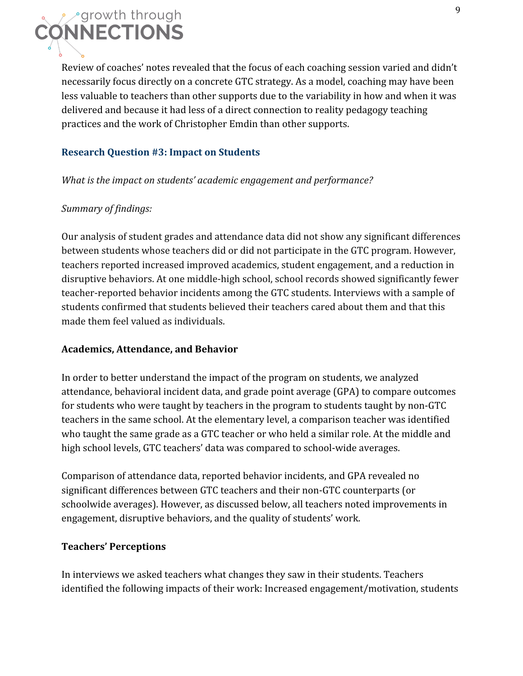

Review of coaches' notes revealed that the focus of each coaching session varied and didn't necessarily focus directly on a concrete GTC strategy. As a model, coaching may have been less valuable to teachers than other supports due to the variability in how and when it was delivered and because it had less of a direct connection to reality pedagogy teaching practices and the work of Christopher Emdin than other supports.

#### **Research Question #3: Impact on Students**

*What is the impact on students' academic engagement and performance?*

#### *Summary of findings:*

Our analysis of student grades and attendance data did not show any significant differences between students whose teachers did or did not participate in the GTC program. However, teachers reported increased improved academics, student engagement, and a reduction in disruptive behaviors. At one middle-high school, school records showed significantly fewer teacher-reported behavior incidents among the GTC students. Interviews with a sample of students confirmed that students believed their teachers cared about them and that this made them feel valued as individuals.

#### **Academics, Attendance, and Behavior**

In order to better understand the impact of the program on students, we analyzed attendance, behavioral incident data, and grade point average (GPA) to compare outcomes for students who were taught by teachers in the program to students taught by non-GTC teachers in the same school. At the elementary level, a comparison teacher was identified who taught the same grade as a GTC teacher or who held a similar role. At the middle and high school levels, GTC teachers' data was compared to school-wide averages.

Comparison of attendance data, reported behavior incidents, and GPA revealed no significant differences between GTC teachers and their non-GTC counterparts (or schoolwide averages). However, as discussed below, all teachers noted improvements in engagement, disruptive behaviors, and the quality of students' work.

#### **Teachers' Perceptions**

In interviews we asked teachers what changes they saw in their students. Teachers identified the following impacts of their work: Increased engagement/motivation, students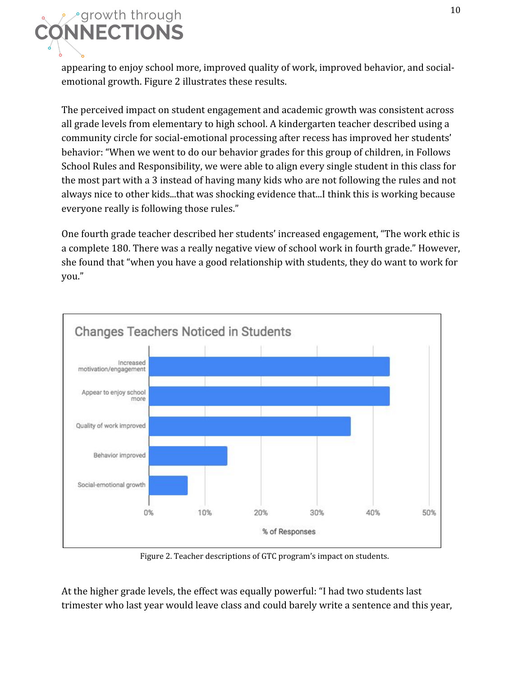

appearing to enjoy school more, improved quality of work, improved behavior, and socialemotional growth. Figure 2 illustrates these results.

The perceived impact on student engagement and academic growth was consistent across all grade levels from elementary to high school. A kindergarten teacher described using a community circle for social-emotional processing after recess has improved her students' behavior: "When we went to do our behavior grades for this group of children, in Follows School Rules and Responsibility, we were able to align every single student in this class for the most part with a 3 instead of having many kids who are not following the rules and not always nice to other kids...that was shocking evidence that...I think this is working because everyone really is following those rules."

One fourth grade teacher described her students' increased engagement, "The work ethic is a complete 180. There was a really negative view of school work in fourth grade." However, she found that "when you have a good relationship with students, they do want to work for you."



Figure 2. Teacher descriptions of GTC program's impact on students.

At the higher grade levels, the effect was equally powerful: "I had two students last trimester who last year would leave class and could barely write a sentence and this year,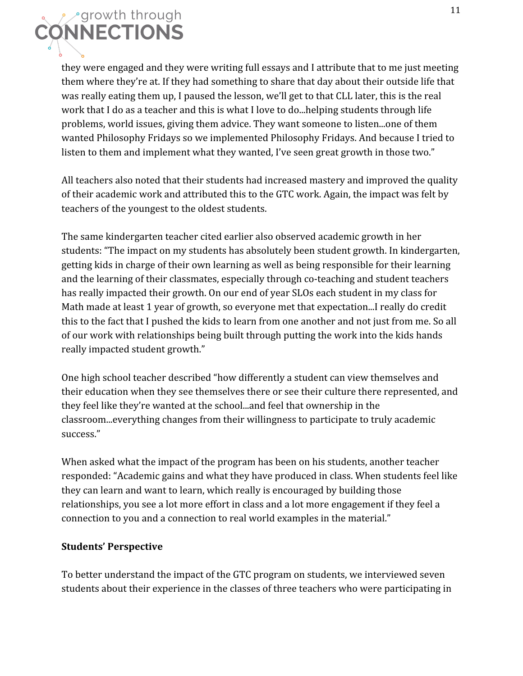

they were engaged and they were writing full essays and I attribute that to me just meeting them where they're at. If they had something to share that day about their outside life that was really eating them up, I paused the lesson, we'll get to that CLL later, this is the real work that I do as a teacher and this is what I love to do...helping students through life problems, world issues, giving them advice. They want someone to listen...one of them wanted Philosophy Fridays so we implemented Philosophy Fridays. And because I tried to listen to them and implement what they wanted, I've seen great growth in those two."

All teachers also noted that their students had increased mastery and improved the quality of their academic work and attributed this to the GTC work. Again, the impact was felt by teachers of the youngest to the oldest students.

The same kindergarten teacher cited earlier also observed academic growth in her students: "The impact on my students has absolutely been student growth. In kindergarten, getting kids in charge of their own learning as well as being responsible for their learning and the learning of their classmates, especially through co-teaching and student teachers has really impacted their growth. On our end of year SLOs each student in my class for Math made at least 1 year of growth, so everyone met that expectation...I really do credit this to the fact that I pushed the kids to learn from one another and not just from me. So all of our work with relationships being built through putting the work into the kids hands really impacted student growth."

One high school teacher described "how differently a student can view themselves and their education when they see themselves there or see their culture there represented, and they feel like they're wanted at the school...and feel that ownership in the classroom...everything changes from their willingness to participate to truly academic success."

When asked what the impact of the program has been on his students, another teacher responded: "Academic gains and what they have produced in class. When students feel like they can learn and want to learn, which really is encouraged by building those relationships, you see a lot more effort in class and a lot more engagement if they feel a connection to you and a connection to real world examples in the material."

### **Students' Perspective**

To better understand the impact of the GTC program on students, we interviewed seven students about their experience in the classes of three teachers who were participating in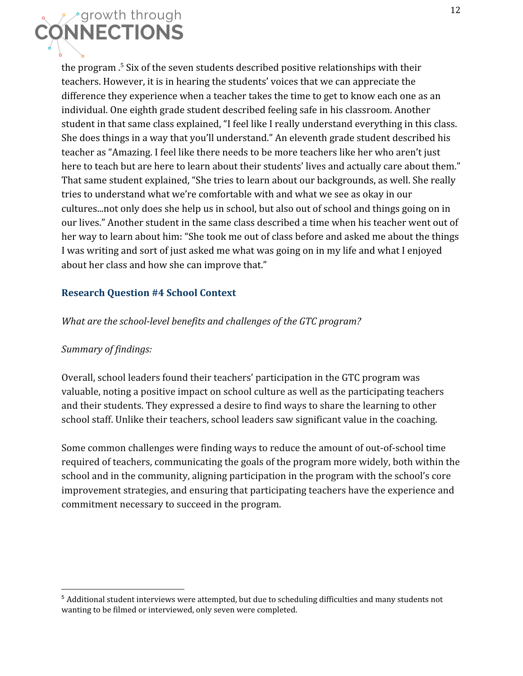

the program  $\frac{5}{5}$  Six of the seven students described positive relationships with their teachers. However, it is in hearing the students' voices that we can appreciate the difference they experience when a teacher takes the time to get to know each one as an individual. One eighth grade student described feeling safe in his classroom. Another student in that same class explained, "I feel like I really understand everything in this class. She does things in a way that you'll understand." An eleventh grade student described his teacher as "Amazing. I feel like there needs to be more teachers like her who aren't just here to teach but are here to learn about their students' lives and actually care about them." That same student explained, "She tries to learn about our backgrounds, as well. She really tries to understand what we're comfortable with and what we see as okay in our cultures...not only does she help us in school, but also out of school and things going on in our lives." Another student in the same class described a time when his teacher went out of her way to learn about him: "She took me out of class before and asked me about the things I was writing and sort of just asked me what was going on in my life and what I enjoyed about her class and how she can improve that."

#### **Research Question #4 School Context**

*What are the school-level benefits and challenges of the GTC program?*

#### *Summary of findings:*

Overall, school leaders found their teachers' participation in the GTC program was valuable, noting a positive impact on school culture as well as the participating teachers and their students. They expressed a desire to find ways to share the learning to other school staff. Unlike their teachers, school leaders saw significant value in the coaching.

Some common challenges were finding ways to reduce the amount of out-of-school time required of teachers, communicating the goals of the program more widely, both within the school and in the community, aligning participation in the program with the school's core improvement strategies, and ensuring that participating teachers have the experience and commitment necessary to succeed in the program.

<sup>5</sup> Additional student interviews were attempted, but due to scheduling difficulties and many students not wanting to be filmed or interviewed, only seven were completed.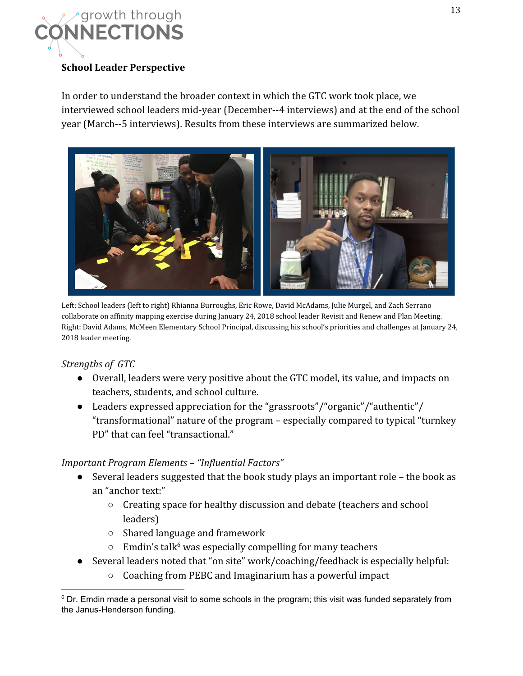

### **School Leader Perspective**

In order to understand the broader context in which the GTC work took place, we interviewed school leaders mid-year (December--4 interviews) and at the end of the school year (March--5 interviews). Results from these interviews are summarized below.



Left: School leaders (left to right) Rhianna Burroughs, Eric Rowe, David McAdams, Julie Murgel, and Zach Serrano collaborate on affinity mapping exercise during January 24, 2018 school leader Revisit and Renew and Plan Meeting. Right: David Adams, McMeen Elementary School Principal, discussing his school's priorities and challenges at January 24, 2018 leader meeting.

### *Strengths of GTC*

- Overall, leaders were very positive about the GTC model, its value, and impacts on teachers, students, and school culture.
- Leaders expressed appreciation for the "grassroots"/"organic"/"authentic"/ "transformational" nature of the program – especially compared to typical "turnkey PD" that can feel "transactional."

### *Important Program Elements – "Influential Factors"*

- Several leaders suggested that the book study plays an important role the book as an "anchor text:"
	- Creating space for healthy discussion and debate (teachers and school leaders)
	- Shared language and framework
	- $\circ$  Emdin's talk<sup>6</sup> was especially compelling for many teachers
- Several leaders noted that "on site" work/coaching/feedback is especially helpful:
	- Coaching from PEBC and Imaginarium has a powerful impact

 $6$  Dr. Emdin made a personal visit to some schools in the program; this visit was funded separately from the Janus-Henderson funding.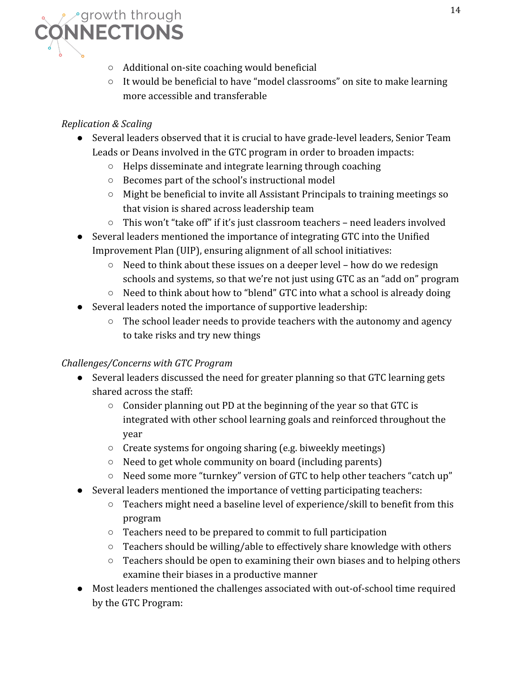

- Additional on-site coaching would beneficial
- It would be beneficial to have "model classrooms" on site to make learning more accessible and transferable

# *Replication & Scaling*

- Several leaders observed that it is crucial to have grade-level leaders, Senior Team Leads or Deans involved in the GTC program in order to broaden impacts:
	- Helps disseminate and integrate learning through coaching
	- Becomes part of the school's instructional model
	- Might be beneficial to invite all Assistant Principals to training meetings so that vision is shared across leadership team
	- This won't "take off" if it's just classroom teachers need leaders involved
- Several leaders mentioned the importance of integrating GTC into the Unified Improvement Plan (UIP), ensuring alignment of all school initiatives:
	- Need to think about these issues on a deeper level how do we redesign schools and systems, so that we're not just using GTC as an "add on" program
	- Need to think about how to "blend" GTC into what a school is already doing
- Several leaders noted the importance of supportive leadership:
	- The school leader needs to provide teachers with the autonomy and agency to take risks and try new things

# *Challenges/Concerns with GTC Program*

- Several leaders discussed the need for greater planning so that GTC learning gets shared across the staff:
	- Consider planning out PD at the beginning of the year so that GTC is integrated with other school learning goals and reinforced throughout the year
	- Create systems for ongoing sharing (e.g. biweekly meetings)
	- Need to get whole community on board (including parents)
	- Need some more "turnkey" version of GTC to help other teachers "catch up"
- Several leaders mentioned the importance of vetting participating teachers:
	- Teachers might need a baseline level of experience/skill to benefit from this program
	- Teachers need to be prepared to commit to full participation
	- Teachers should be willing/able to effectively share knowledge with others
	- Teachers should be open to examining their own biases and to helping others examine their biases in a productive manner
- Most leaders mentioned the challenges associated with out-of-school time required by the GTC Program: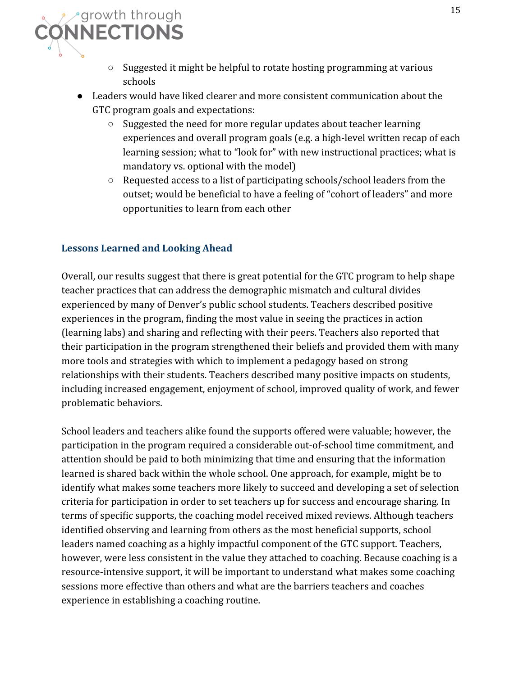

- Suggested it might be helpful to rotate hosting programming at various schools
- Leaders would have liked clearer and more consistent communication about the GTC program goals and expectations:
	- Suggested the need for more regular updates about teacher learning experiences and overall program goals (e.g. a high-level written recap of each learning session; what to "look for" with new instructional practices; what is mandatory vs. optional with the model)
	- Requested access to a list of participating schools/school leaders from the outset; would be beneficial to have a feeling of "cohort of leaders" and more opportunities to learn from each other

### **Lessons Learned and Looking Ahead**

Overall, our results suggest that there is great potential for the GTC program to help shape teacher practices that can address the demographic mismatch and cultural divides experienced by many of Denver's public school students. Teachers described positive experiences in the program, finding the most value in seeing the practices in action (learning labs) and sharing and reflecting with their peers. Teachers also reported that their participation in the program strengthened their beliefs and provided them with many more tools and strategies with which to implement a pedagogy based on strong relationships with their students. Teachers described many positive impacts on students, including increased engagement, enjoyment of school, improved quality of work, and fewer problematic behaviors.

School leaders and teachers alike found the supports offered were valuable; however, the participation in the program required a considerable out-of-school time commitment, and attention should be paid to both minimizing that time and ensuring that the information learned is shared back within the whole school. One approach, for example, might be to identify what makes some teachers more likely to succeed and developing a set of selection criteria for participation in order to set teachers up for success and encourage sharing. In terms of specific supports, the coaching model received mixed reviews. Although teachers identified observing and learning from others as the most beneficial supports, school leaders named coaching as a highly impactful component of the GTC support. Teachers, however, were less consistent in the value they attached to coaching. Because coaching is a resource-intensive support, it will be important to understand what makes some coaching sessions more effective than others and what are the barriers teachers and coaches experience in establishing a coaching routine.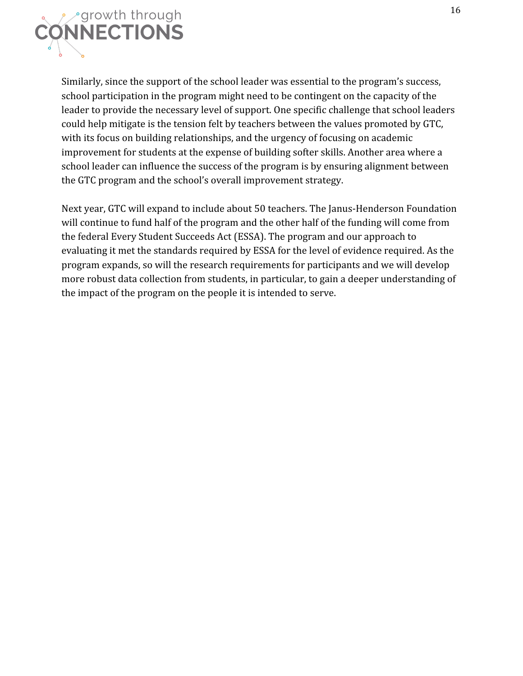

Similarly, since the support of the school leader was essential to the program's success, school participation in the program might need to be contingent on the capacity of the leader to provide the necessary level of support. One specific challenge that school leaders could help mitigate is the tension felt by teachers between the values promoted by GTC, with its focus on building relationships, and the urgency of focusing on academic improvement for students at the expense of building softer skills. Another area where a school leader can influence the success of the program is by ensuring alignment between the GTC program and the school's overall improvement strategy.

Next year, GTC will expand to include about 50 teachers. The Janus-Henderson Foundation will continue to fund half of the program and the other half of the funding will come from the federal Every Student Succeeds Act (ESSA). The program and our approach to evaluating it met the standards required by ESSA for the level of evidence required. As the program expands, so will the research requirements for participants and we will develop more robust data collection from students, in particular, to gain a deeper understanding of the impact of the program on the people it is intended to serve.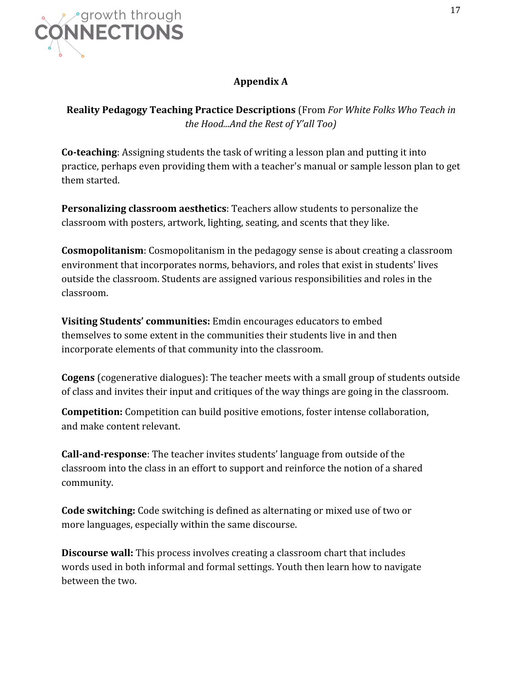

# **Appendix A**

**Reality Pedagogy Teaching Practice Descriptions** (From *For White Folks Who Teach in the Hood...And the Rest of Y'all Too)*

**Co-teaching**: Assigning students the task of writing a lesson plan and putting it into practice, perhaps even providing them with a teacher's manual or sample lesson plan to get them started.

**Personalizing classroom aesthetics**: Teachers allow students to personalize the classroom with posters, artwork, lighting, seating, and scents that they like.

**Cosmopolitanism**: Cosmopolitanism in the pedagogy sense is about creating a classroom environment that incorporates norms, behaviors, and roles that exist in students' lives outside the classroom. Students are assigned various responsibilities and roles in the classroom.

**Visiting Students' communities:** Emdin encourages educators to embed themselves to some extent in the communities their students live in and then incorporate elements of that community into the classroom.

**Cogens** (cogenerative dialogues): The teacher meets with a small group of students outside of class and invites their input and critiques of the way things are going in the classroom.

**Competition:** Competition can build positive emotions, foster intense collaboration, and make content relevant.

**Call-and-response**: The teacher invites students' language from outside of the classroom into the class in an effort to support and reinforce the notion of a shared community.

**Code switching:** Code switching is defined as alternating or mixed use of two or more languages, especially within the same discourse.

**Discourse wall:** This process involves creating a classroom chart that includes words used in both informal and formal settings. Youth then learn how to navigate between the two.